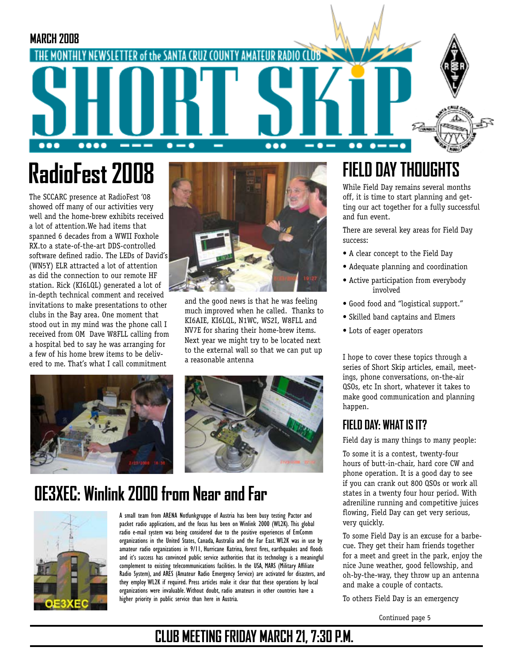

# **RadioFest 2008**

The SCCARC presence at RadioFest '08 showed off many of our activities very well and the home-brew exhibits received a lot of attention.We had items that spanned 6 decades from a WWII Foxhole RX.to a state-of-the-art DDS-controlled software defined radio. The LEDs of David's (WN5Y) ELR attracted a lot of attention as did the connection to our remote HF station. Rick (KI6LQL) generated a lot of in-depth technical comment and received invitations to make presentations to other clubs in the Bay area. One moment that stood out in my mind was the phone call I received from OM Dave W8FLL calling from a hospital bed to say he was arranging for a few of his home brew items to be delivered to me. That's what I call commitment



and the good news is that he was feeling much improved when he called. Thanks to KI6AIE, KI6LQL, N1WC, WS2I, W8FLL and NV7E for sharing their home-brew items. Next year we might try to be located next to the external wall so that we can put up a reasonable antenna





## **OE3XEC: Winlink 2000 from Near and Far**



A small team from ARENA Notfunkgruppe of Austria has been busy testing Pactor and packet radio applications, and the focus has been on Winlink 2000 (WL2K). This global radio e-mail system was being considered due to the positive experiences of EmComm organizations in the United States, Canada, Australia and the Far East. WL2K was in use by amateur radio organizations in 9/11, Hurricane Katrina, forest fires, earthquakes and floods and it's success has convinced public service authorities that its technology is a meaningful complement to existing telecommunications facilities. In the USA, MARS (Military Affiliate Radio System), and ARES (Amateur Radio Emergency Service) are activated for disasters, and they employ WL2K if required. Press articles make it clear that these operations by local organizations were invaluable. Without doubt, radio amateurs in other countries have a higher priority in public service than here in Austria.

## **FIELD DAY THOUGHTS**

While Field Day remains several months off, it is time to start planning and getting our act together for a fully successful and fun event.

There are several key areas for Field Day success:

- A clear concept to the Field Day
- Adequate planning and coordination
- Active participation from everybody involved
- Good food and "logistical support."
- Skilled band captains and Elmers
- Lots of eager operators

I hope to cover these topics through a series of Short Skip articles, email, meetings, phone conversations, on-the-air QSOs, etc In short, whatever it takes to make good communication and planning happen.

#### **FIELD DAY: WHAT IS IT?**

Field day is many things to many people:

To some it is a contest, twenty-four hours of butt-in-chair, hard core CW and phone operation. It is a good day to see if you can crank out 800 QSOs or work all states in a twenty four hour period. With adreniline running and competitive juices flowing, Field Day can get very serious, very quickly.

To some Field Day is an excuse for a barbecue. They get their ham friends together for a meet and greet in the park, enjoy the nice June weather, good fellowship, and oh-by-the-way, they throw up an antenna and make a couple of contacts.

To others Field Day is an emergency

Continued page 5

### **CLUB MEETING FRIDAY MARCH 21, 7:30 P.M.**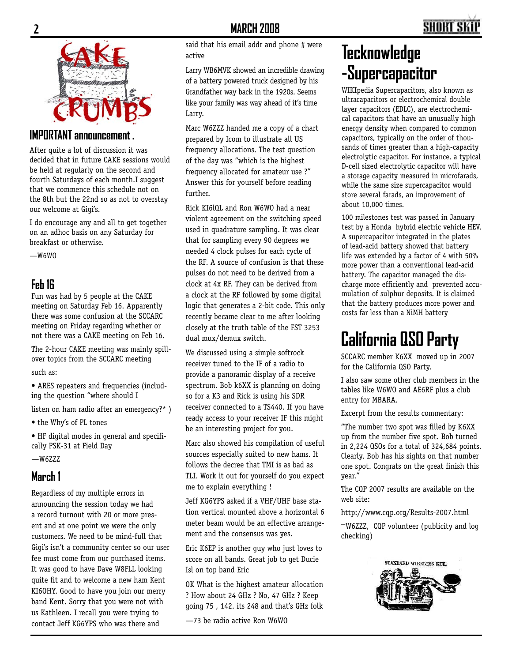

#### **IMPORTANT announcement .**

After quite a lot of discussion it was decided that in future CAKE sessions would be held at regularly on the second and fourth Saturdays of each month.I suggest that we commence this schedule not on the 8th but the 22nd so as not to overstay our welcome at Gigi's.

I do encourage any and all to get together on an adhoc basis on any Saturday for breakfast or otherwise.

 $-W6WD$ 

#### **Feb 16**

Fun was had by 5 people at the CAKE meeting on Saturday Feb 16. Apparently there was some confusion at the SCCARC meeting on Friday regarding whether or not there was a CAKE meeting on Feb 16.

The 2-hour CAKE meeting was mainly spillover topics from the SCCARC meeting such as:

• ARES repeaters and frequencies (including the question "where should I

listen on ham radio after an emergency?\* )

• the Why's of PL tones

• HF digital modes in general and specifically PSK-31 at Field Day

 $-W67.77$ 

#### **March 1**

Regardless of my multiple errors in announcing the session today we had a record turnout with 20 or more present and at one point we were the only customers. We need to be mind-full that Gigi's isn't a community center so our user fee must come from our purchased items. It was good to have Dave W8FLL looking quite fit and to welcome a new ham Kent KI6OHY. Good to have you join our merry band Kent. Sorry that you were not with us Kathleen. I recall you were trying to contact Jeff KG6YPS who was there and

said that his email addr and phone # were active

Larry WB6MVK showed an incredible drawing of a battery powered truck designed by his Grandfather way back in the 1920s. Seems like your family was way ahead of it's time Larry.

Marc W6ZZZ handed me a copy of a chart prepared by Icom to illustrate all US frequency allocations. The test question of the day was "which is the highest frequency allocated for amateur use ?" Answer this for yourself before reading further.

Rick KI6lQL and Ron W6WO had a near violent agreement on the switching speed used in quadrature sampling. It was clear that for sampling every 90 degrees we needed 4 clock pulses for each cycle of the RF. A source of confusion is that these pulses do not need to be derived from a clock at 4x RF. They can be derived from a clock at the RF followed by some digital logic that generates a 2-bit code. This only recently became clear to me after looking closely at the truth table of the FST 3253 dual mux/demux switch.

We discussed using a simple softrock receiver tuned to the IF of a radio to provide a panoramic display of a receive spectrum. Bob k6XX is planning on doing so for a K3 and Rick is using his SDR receiver connected to a TS440. If you have ready access to your receiver IF this might be an interesting project for you.

Marc also showed his compilation of useful sources especially suited to new hams. It follows the decree that TMI is as bad as TLI. Work it out for yourself do you expect me to explain everything !

Jeff KG6YPS asked if a VHF/UHF base station vertical mounted above a horizontal 6 meter beam would be an effective arrangement and the consensus was yes.

Eric K6EP is another guy who just loves to score on all bands. Great job to get Ducie Isl on top band Eric

OK What is the highest amateur allocation ? How about 24 GHz ? No, 47 GHz ? Keep going 75 , 142. its 248 and that's GHz folk

—73 be radio active Ron W6WO

## **Tecknowledge -Supercapacitor**

WIKIpedia Supercapacitors, also known as ultracapacitors or electrochemical double layer capacitors (EDLC), are electrochemical capacitors that have an unusually high energy density when compared to common capacitors, typically on the order of thousands of times greater than a high-capacity electrolytic capacitor. For instance, a typical D-cell sized electrolytic capacitor will have a storage capacity measured in microfarads, while the same size supercapacitor would store several farads, an improvement of about 10,000 times.

100 milestones test was passed in January test by a Honda hybrid electric vehicle HEV. A supercapacitor integrated in the plates of lead-acid battery showed that battery life was extended by a factor of 4 with 50% more power than a conventional lead-acid battery. The capacitor managed the discharge more efficiently and prevented accumulation of sulphur deposits. It is claimed that the battery produces more power and costs far less than a NiMH battery

## **California QSO Party**

SCCARC member K6XX moved up in 2007 for the California QSO Party.

I also saw some other club members in the tables like W6WO and AE6RF plus a club entry for MBARA.

Excerpt from the results commentary:

"The number two spot was filled by K6XX up from the number five spot. Bob turned in 2,224 QSOs for a total of 324,684 points. Clearly, Bob has his sights on that number one spot. Congrats on the great finish this year."

The CQP 2007 results are available on the web site:

http://www.cqp.org/Results-2007.html

—W6ZZZ, CQP volunteer (publicity and log checking)

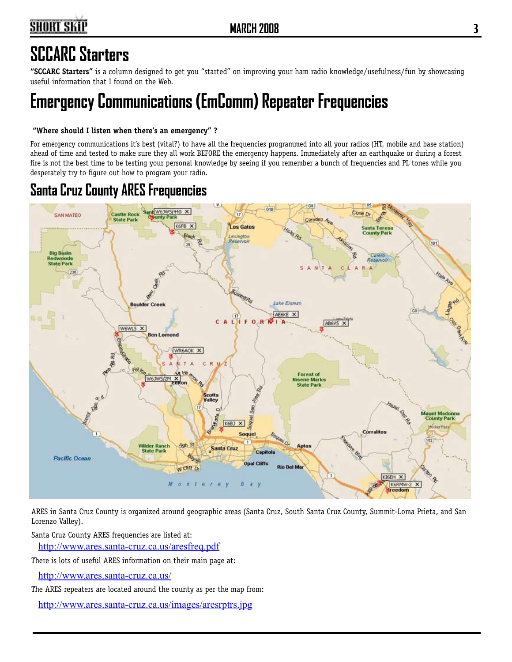## **SHORT SKIP**

## **SCCARC Starters**

**"SCCARC Starters"** is a column designed to get you "started" on improving your ham radio knowledge/usefulness/fun by showcasing useful information that I found on the Web.

## **Emergency Communications (EmComm) Repeater Frequencies**

#### **"Where should I listen when there's an emergency" ?**

For emergency communications it's best (vital?) to have all the frequencies programmed into all your radios (HT, mobile and base station) ahead of time and tested to make sure they all work BEFORE the emergency happens. Immediately after an earthquake or during a forest fire is not the best time to be testing your personal knowledge by seeing if you remember a bunch of frequencies and PL tones while you desperately try to figure out how to program your radio.

### **Santa Cruz County ARES Frequencies**



ARES in Santa Cruz County is organized around geographic areas (Santa Cruz, South Santa Cruz County, Summit-Loma Prieta, and San Lorenzo Valley).

Santa Cruz County ARES frequencies are listed at:

http://www.ares.santa-cruz.ca.us/aresfreq.pdf

There is lots of useful ARES information on their main page at:

http://www.ares.santa-cruz.ca.us/

The ARES repeaters are located around the county as per the map from:

http://www.ares.santa-cruz.ca.us/images/aresrptrs.jpg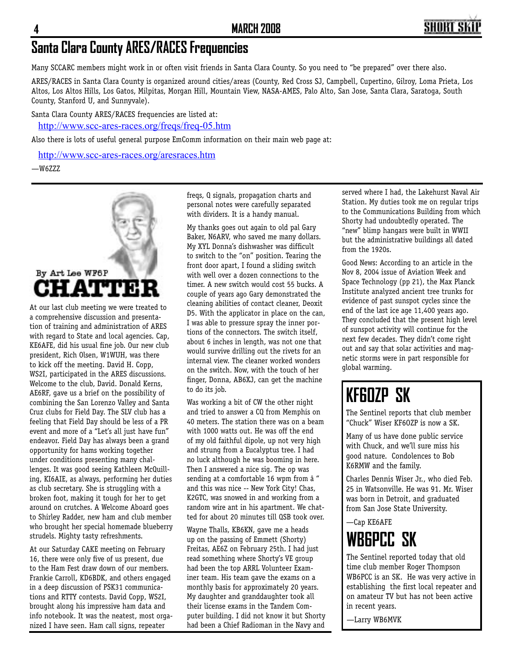## **Santa Clara County ARES/RACES Frequencies**

Many SCCARC members might work in or often visit friends in Santa Clara County. So you need to "be prepared" over there also.

ARES/RACES in Santa Clara County is organized around cities/areas (County, Red Cross SJ, Campbell, Cupertino, Gilroy, Loma Prieta, Los Altos, Los Altos Hills, Los Gatos, Milpitas, Morgan Hill, Mountain View, NASA-AMES, Palo Alto, San Jose, Santa Clara, Saratoga, South County, Stanford U, and Sunnyvale).

Santa Clara County ARES/RACES frequencies are listed at:

http://www.scc-ares-races.org/freqs/freq-05.htm

Also there is lots of useful general purpose EmComm information on their main web page at:

http://www.scc-ares-races.org/aresraces.htm

—W6ZZZ



At our last club meeting we were treated to a comprehensive discussion and presentation of training and administration of ARES with regard to State and local agencies. Cap, KE6AFE, did his usual fine job. Our new club president, Rich Olsen, W1WUH, was there to kick off the meeting. David H. Copp, WS2I, participated in the ARES discussions. Welcome to the club, David. Donald Kerns, AE6RF, gave us a brief on the possibility of combining the San Lorenzo Valley and Santa Cruz clubs for Field Day. The SLV club has a feeling that Field Day should be less of a PR event and more of a "Let's all just have fun" endeavor. Field Day has always been a grand opportunity for hams working together under conditions presenting many challenges. It was good seeing Kathleen McQuilling, KI6AIE, as always, performing her duties as club secretary. She is struggling with a broken foot, making it tough for her to get around on crutches. A Welcome Aboard goes to Shirley Radder, new ham and club member who brought her special homemade blueberry strudels. Mighty tasty refreshments.

At our Saturday CAKE meeting on February 16, there were only five of us present, due to the Ham Fest draw down of our members. Frankie Carroll, KD6BDK, and others engaged in a deep discussion of PSK31 communications and RTTY contests. David Copp, WS2I, brought along his impressive ham data and info notebook. It was the neatest, most organized I have seen. Ham call signs, repeater

freqs, Q signals, propagation charts and personal notes were carefully separated with dividers. It is a handy manual.

My thanks goes out again to old pal Gary Baker, N6ARV, who saved me many dollars. My XYL Donna's dishwasher was difficult to switch to the "on" position. Tearing the front door apart, I found a sliding switch with well over a dozen connections to the timer. A new switch would cost 55 bucks. A couple of years ago Gary demonstrated the cleaning abilities of contact cleaner, Deoxit D5. With the applicator in place on the can, I was able to pressure spray the inner portions of the connectors. The switch itself, about 6 inches in length, was not one that would survive drilling out the rivets for an internal view. The cleaner worked wonders on the switch. Now, with the touch of her finger, Donna, AB6XJ, can get the machine to do its job.

Was working a bit of CW the other night and tried to answer a CQ from Memphis on 40 meters. The station there was on a beam with 1000 watts out. He was off the end of my old faithful dipole, up not very high and strung from a Eucalyptus tree. I had no luck although he was booming in here. Then I answered a nice sig. The op was sending at a comfortable 16 wpm from  $\hat{a}$  " and this was nice -- New York City! Chas, K2GTC, was snowed in and working from a random wire ant in his apartment. We chatted for about 20 minutes till QSB took over.

Wayne Thalls, KB6KN, gave me a heads up on the passing of Emmett (Shorty) Freitas, AE6Z on February 25th. I had just read something where Shorty's VE group had been the top ARRL Volunteer Examiner team. His team gave the exams on a monthly basis for approximately 20 years. My daughter and granddaughter took all their license exams in the Tandem Computer building. I did not know it but Shorty had been a Chief Radioman in the Navy and served where I had, the Lakehurst Naval Air Station. My duties took me on regular trips to the Communications Building from which Shorty had undoubtedly operated. The "new" blimp hangars were built in WWII but the administrative buildings all dated from the 1920s.

Good News: According to an article in the Nov 8, 2004 issue of Aviation Week and Space Technology (pp 21), the Max Planck Institute analyzed ancient tree trunks for evidence of past sunspot cycles since the end of the last ice age 11,400 years ago. They concluded that the present high level of sunspot activity will continue for the next few decades. They didn't come right out and say that solar activities and magnetic storms were in part responsible for global warming.

## **KF6OZP SK**

The Sentinel reports that club member "Chuck" Wiser KF6OZP is now a SK.

Many of us have done public service with Chuck, and we'll sure miss his good nature. Condolences to Bob K6RMW and the family.

Charles Dennis Wiser Jr., who died Feb. 25 in Watsonville. He was 91. Mr. Wiser was born in Detroit, and graduated from San Jose State University.

#### —Cap KE6AFE **WB6PCC SK**

The Sentinel reported today that old time club member Roger Thompson WB6PCC is an SK. He was very active in establishing the first local repeater and on amateur TV but has not been active in recent years.

—Larry WB6MVK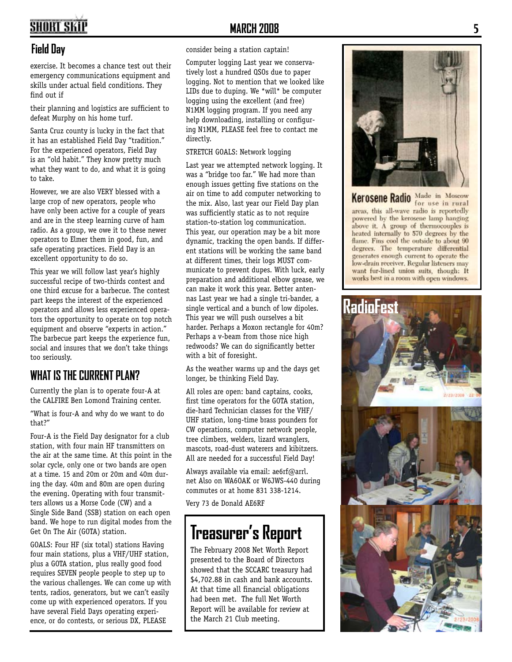## **SHORT SKIP**

#### **Field Day**

exercise. It becomes a chance test out their emergency communications equipment and skills under actual field conditions. They find out if

their planning and logistics are sufficient to defeat Murphy on his home turf.

Santa Cruz county is lucky in the fact that it has an established Field Day "tradition." For the experienced operators, Field Day is an "old habit." They know pretty much what they want to do, and what it is going to take.

However, we are also VERY blessed with a large crop of new operators, people who have only been active for a couple of years and are in the steep learning curve of ham radio. As a group, we owe it to these newer operators to Elmer them in good, fun, and safe operating practices. Field Day is an excellent opportunity to do so.

This year we will follow last year's highly successful recipe of two-thirds contest and one third excuse for a barbecue. The contest part keeps the interest of the experienced operators and allows less experienced opera tors the opportunity to operate on top notch equipment and observe "experts in action." The barbecue part keeps the experience fun, social and insures that we don't take things too seriously.

#### WHAT IS THE CURRENT PLAN?

Currently the plan is to operate four-A at the CALFIRE Ben Lomond Training center.

"What is four-A and why do we want to do that?"

Four-A is the Field Day designator for a club station, with four main HF transmitters on the air at the same time. At this point in the solar cycle, only one or two bands are open at a time. 15 and 20m or 20m and 40m dur ing the day. 40m and 80m are open during the evening. Operating with four transmit ters allows us a Morse Code (CW) and a Single Side Band (SSB) station on each open band. We hope to run digital modes from the Get On The Air (GOTA) station.

GOALS: Four HF (six total) stations Having four main stations, plus a VHF/UHF station, plus a GOTA station, plus really good food requires SEVEN people people to step up to the various challenges. We can come up with tents, radios, generators, but we can't easily come up with experienced operators. If you have several Field Days operating experi ence, or do contests, or serious DX, PLEASE

#### **MARCH 2008**

#### consider being a station captain!

Computer logging Last year we conserva tively lost a hundred QSOs due to paper logging. Not to mention that we looked like LIDs due to duping. We \*will\* be computer logging using the excellent (and free) N1MM logging program. If you need any help downloading, installing or configur ing N1MM, PLEASE feel free to contact me directly.

#### STRETCH GOALS: Network logging

Last year we attempted network logging. It was a "bridge too far." We had more than enough issues getting five stations on the air on time to add computer networking to the mix. Also, last year our Field Day plan was sufficiently static as to not require station-to-station log communication. This year, our operation may be a bit more dynamic, tracking the open bands. If differ ent stations will be working the same band at different times, their logs MUST com municate to prevent dupes. With luck, early preparation and additional elbow grease, we can make it work this year. Better anten nas Last year we had a single tri-bander, a single vertical and a bunch of low dipoles. This year we will push ourselves a bit harder. Perhaps a Moxon rectangle for 40m? Perhaps a v-beam from those nice high redwoods? We can do significantly better with a bit of foresight.

As the weather warms up and the days get longer, be thinking Field Day.

All roles are open: band captains, cooks, first time operators for the GOTA station, die-hard Technician classes for the VHF/ UHF station, long-time brass pounders for CW operations, computer network people, tree climbers, welders, lizard wranglers, mascots, road-dust waterers and kibitzers. All are needed for a successful Field Day!

Always available via email: ae6rf@arrl. net Also on WA6OAK or W6JWS-440 during commutes or at home 831 338-1214.

Very 73 de Donald AE6RF

## **Treasurer's Report**

The February 2008 Net Worth Report presented to the Board of Directors showed that the SCCARC treasury had \$4,702.88 in cash and bank accounts. At that time all financial obligations had been met. The full Net Worth Report will be available for review at the March 21 Club meeting.



Kerosene Radio Made in Moscow areas, this all-wave radio is reportedly powered by the kerosene lamp hanging above it. A group of thermocouples is heated internally to 570 degrees by the flame. Fins cool the outside to about 90 degrees. The temperature differential generates enough current to operate the low-drain receiver. Regular listeners may want fur-lined union suits, though: It works best in a room with open windows.